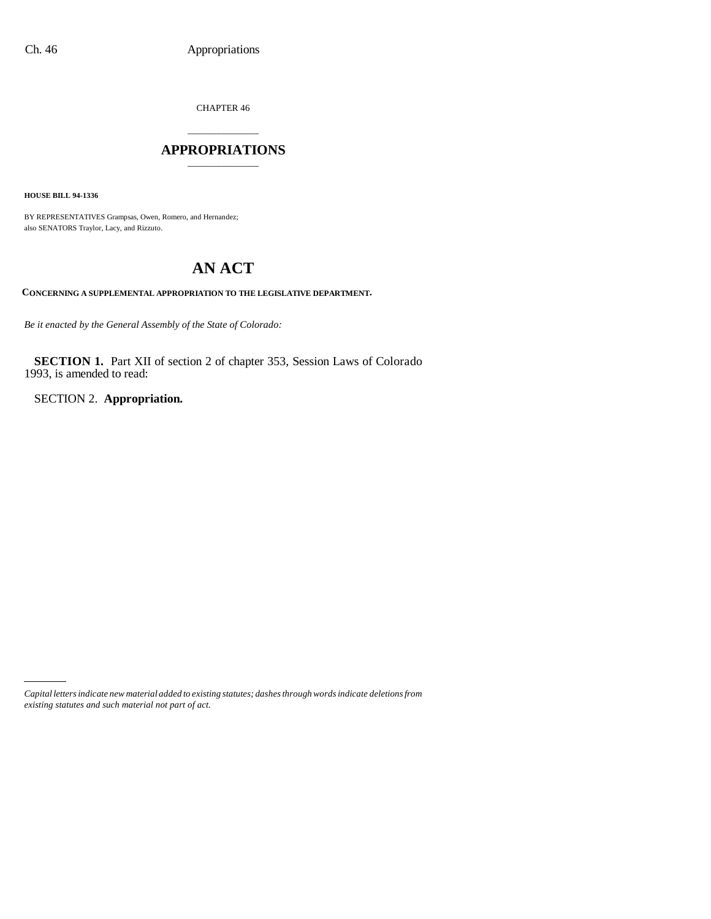CHAPTER 46

### \_\_\_\_\_\_\_\_\_\_\_\_\_\_\_ **APPROPRIATIONS** \_\_\_\_\_\_\_\_\_\_\_\_\_\_\_

**HOUSE BILL 94-1336**

BY REPRESENTATIVES Grampsas, Owen, Romero, and Hernandez; also SENATORS Traylor, Lacy, and Rizzuto.

# **AN ACT**

**CONCERNING A SUPPLEMENTAL APPROPRIATION TO THE LEGISLATIVE DEPARTMENT.**

*Be it enacted by the General Assembly of the State of Colorado:*

**SECTION 1.** Part XII of section 2 of chapter 353, Session Laws of Colorado 1993, is amended to read:

SECTION 2. **Appropriation.**

*Capital letters indicate new material added to existing statutes; dashes through words indicate deletions from existing statutes and such material not part of act.*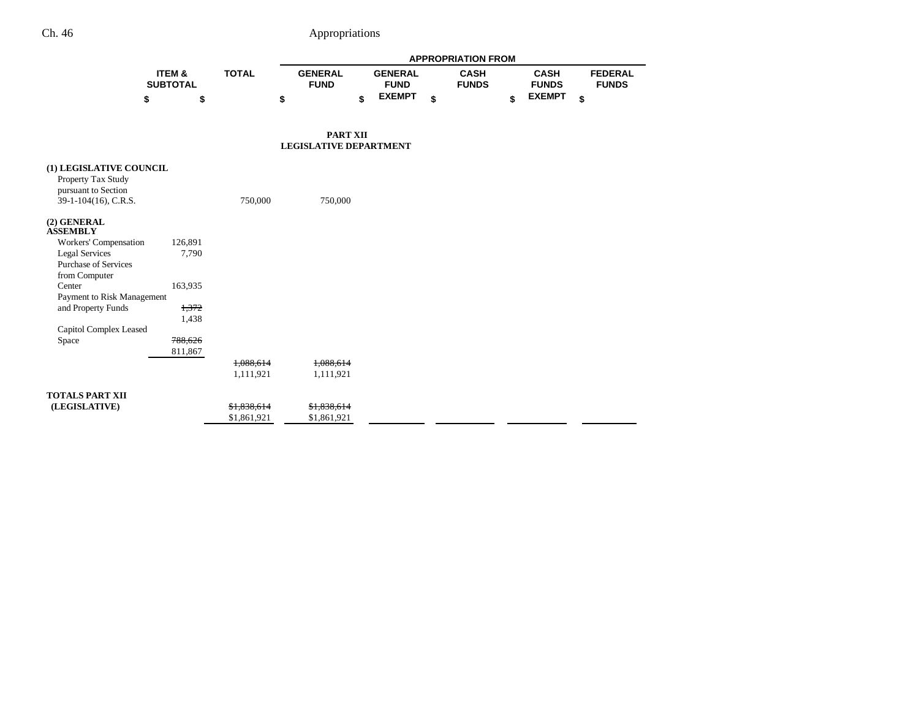# Ch. 46 Appropriations

|                                        |                           |              | <b>APPROPRIATION FROM</b>     |                               |                             |                             |                                |
|----------------------------------------|---------------------------|--------------|-------------------------------|-------------------------------|-----------------------------|-----------------------------|--------------------------------|
|                                        | ITEM &<br><b>SUBTOTAL</b> | <b>TOTAL</b> | <b>GENERAL</b><br><b>FUND</b> | <b>GENERAL</b><br><b>FUND</b> | <b>CASH</b><br><b>FUNDS</b> | <b>CASH</b><br><b>FUNDS</b> | <b>FEDERAL</b><br><b>FUNDS</b> |
|                                        | \$                        | \$           | \$                            | <b>EXEMPT</b><br>\$           | \$                          | <b>EXEMPT</b><br>\$         | \$                             |
|                                        |                           |              |                               |                               |                             |                             |                                |
|                                        |                           |              | <b>PART XII</b>               |                               |                             |                             |                                |
|                                        |                           |              | <b>LEGISLATIVE DEPARTMENT</b> |                               |                             |                             |                                |
| (1) LEGISLATIVE COUNCIL                |                           |              |                               |                               |                             |                             |                                |
| Property Tax Study                     |                           |              |                               |                               |                             |                             |                                |
| pursuant to Section                    |                           |              |                               |                               |                             |                             |                                |
| 39-1-104(16), C.R.S.                   |                           | 750,000      | 750,000                       |                               |                             |                             |                                |
| (2) GENERAL<br><b>ASSEMBLY</b>         |                           |              |                               |                               |                             |                             |                                |
| Workers' Compensation                  | 126,891                   |              |                               |                               |                             |                             |                                |
| <b>Legal Services</b>                  | 7,790                     |              |                               |                               |                             |                             |                                |
| Purchase of Services                   |                           |              |                               |                               |                             |                             |                                |
| from Computer<br>Center                | 163,935                   |              |                               |                               |                             |                             |                                |
| Payment to Risk Management             |                           |              |                               |                               |                             |                             |                                |
| and Property Funds                     | 1,372                     |              |                               |                               |                             |                             |                                |
|                                        | 1,438                     |              |                               |                               |                             |                             |                                |
| <b>Capitol Complex Leased</b><br>Space | 788,626                   |              |                               |                               |                             |                             |                                |
|                                        | 811,867                   |              |                               |                               |                             |                             |                                |
|                                        |                           | 1,088,614    | 1,088,614                     |                               |                             |                             |                                |
|                                        |                           | 1,111,921    | 1,111,921                     |                               |                             |                             |                                |
| <b>TOTALS PART XII</b>                 |                           |              |                               |                               |                             |                             |                                |
| (LEGISLATIVE)                          |                           | \$1,838,614  | \$1,838,614                   |                               |                             |                             |                                |
|                                        |                           | \$1,861,921  | \$1,861,921                   |                               |                             |                             |                                |
|                                        |                           |              |                               |                               |                             |                             |                                |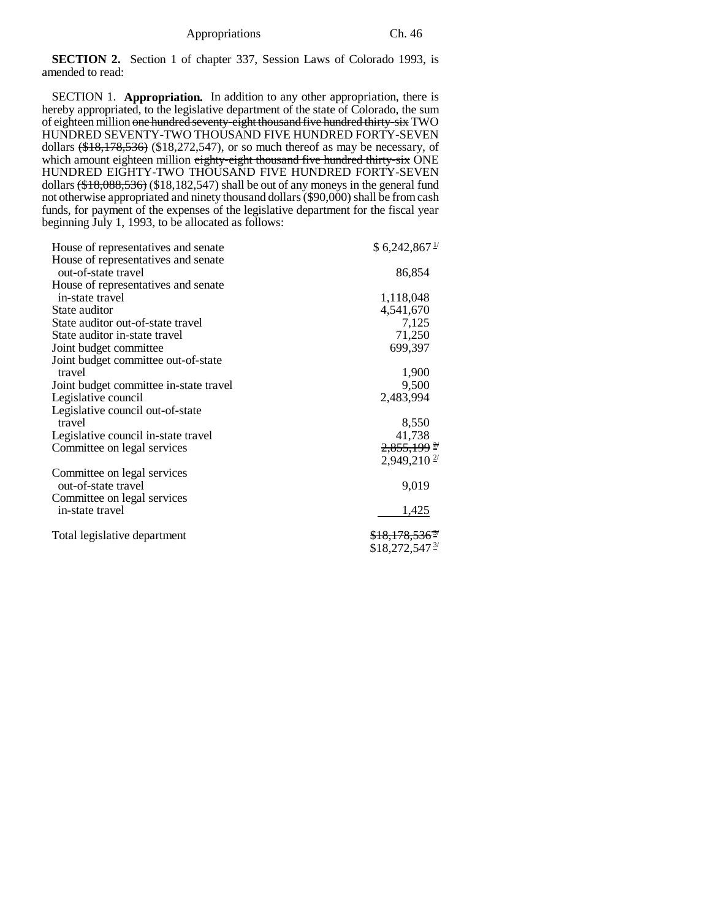**SECTION 2.** Section 1 of chapter 337, Session Laws of Colorado 1993, is amended to read:

SECTION 1. **Appropriation.** In addition to any other appropriation, there is hereby appropriated, to the legislative department of the state of Colorado, the sum of eighteen million one hundred seventy-eight thousand five hundred thirty-six TWO HUNDRED SEVENTY-TWO THOUSAND FIVE HUNDRED FORTY-SEVEN dollars  $(\text{$}18,178,536)$  (\$18,272,547), or so much thereof as may be necessary, of which amount eighteen million eighty-eight thousand five hundred thirty-six ONE HUNDRED EIGHTY-TWO THOUSAND FIVE HUNDRED FORTY-SEVEN dollars (\$18,088,536) (\$18,182,547) shall be out of any moneys in the general fund not otherwise appropriated and ninety thousand dollars (\$90,000) shall be from cash funds, for payment of the expenses of the legislative department for the fiscal year beginning July 1, 1993, to be allocated as follows:

| House of representatives and senate    | \$6,242,867                         |
|----------------------------------------|-------------------------------------|
| House of representatives and senate    |                                     |
| out-of-state travel                    | 86,854                              |
| House of representatives and senate    |                                     |
| in-state travel                        | 1,118,048                           |
| State auditor                          | 4,541,670                           |
| State auditor out-of-state travel      | 7,125                               |
| State auditor in-state travel          | 71,250                              |
| Joint budget committee                 | 699,397                             |
| Joint budget committee out-of-state    |                                     |
| travel                                 | 1,900                               |
| Joint budget committee in-state travel | 9,500                               |
| Legislative council                    | 2,483,994                           |
| Legislative council out-of-state       |                                     |
| travel                                 | 8,550                               |
| Legislative council in-state travel    | 41,738                              |
| Committee on legal services            | $2,855,199$ <sup>2/</sup>           |
|                                        | $2,949,210$ <sup>2/</sup>           |
| Committee on legal services            |                                     |
| out-of-state travel                    | 9,019                               |
| Committee on legal services            |                                     |
| in-state travel                        | 1,425                               |
|                                        |                                     |
|                                        | $$18,272,547$ <sup>3/</sup>         |
| Total legislative department           | <del>\$18,178,536<sup>3</sup></del> |